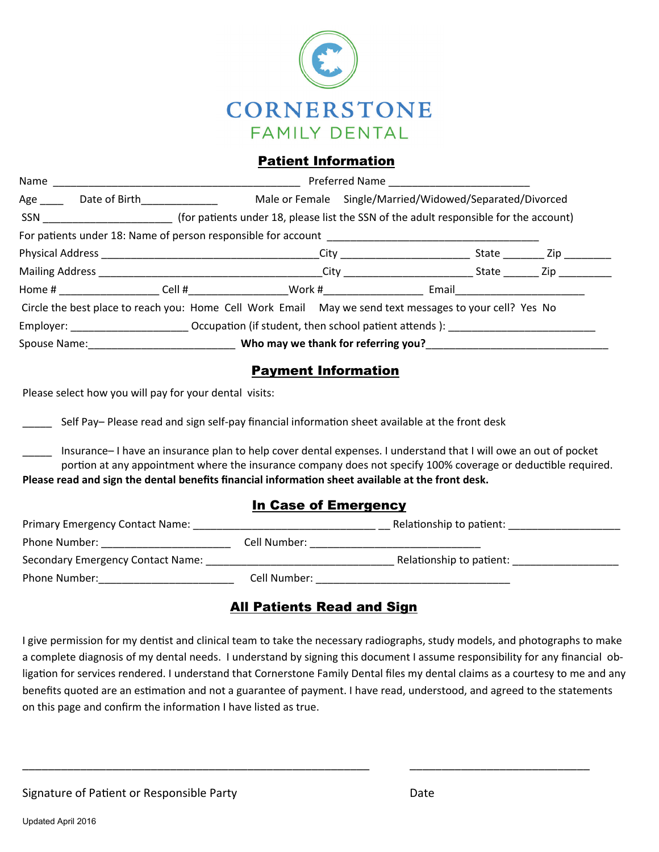

### Patient Information

| Name                                                                                                                                                                                                                           |                                                                                                            |                                                  |                                                                                                               |           |  |
|--------------------------------------------------------------------------------------------------------------------------------------------------------------------------------------------------------------------------------|------------------------------------------------------------------------------------------------------------|--------------------------------------------------|---------------------------------------------------------------------------------------------------------------|-----------|--|
|                                                                                                                                                                                                                                | Age Date of Birth                                                                                          |                                                  | Male or Female Single/Married/Widowed/Separated/Divorced                                                      |           |  |
| SSN DELTA DEL CONTROLLER DEL CONTROLLER DEL CONTROLLER DEL CONTROLLER DEL CONTROLLER DEL CONTROLLER DEL CONTROLLER DEL CONTROLLER DEL CONTROLLER DEL CONTROLLER DEL CONTROLLER DEL CONTROLLER DEL CONTROLLER DEL CONTROLLER DE |                                                                                                            |                                                  | (for patients under 18, please list the SSN of the adult responsible for the account)                         |           |  |
|                                                                                                                                                                                                                                |                                                                                                            |                                                  |                                                                                                               |           |  |
|                                                                                                                                                                                                                                |                                                                                                            |                                                  |                                                                                                               | State Zip |  |
|                                                                                                                                                                                                                                |                                                                                                            |                                                  |                                                                                                               | State Zip |  |
|                                                                                                                                                                                                                                |                                                                                                            | Home # The Cell # Nork # Work # Nork # 2012 2013 | Email and the contract of the contract of the contract of the contract of the contract of the contract of the |           |  |
|                                                                                                                                                                                                                                |                                                                                                            |                                                  | Circle the best place to reach you: Home Cell Work Email May we send text messages to your cell? Yes No       |           |  |
|                                                                                                                                                                                                                                | Employer: ________________________________Occupation (if student, then school patient attends): __________ |                                                  |                                                                                                               |           |  |
|                                                                                                                                                                                                                                | Spouse Name: Spouse Name: Note thank for referring you?                                                    |                                                  |                                                                                                               |           |  |

## Payment Information

Please select how you will pay for your dental visits:

Self Pay– Please read and sign self-pay financial information sheet available at the front desk

\_\_\_\_\_ Insurance– I have an insurance plan to help cover dental expenses. I understand that I will owe an out of pocket portion at any appointment where the insurance company does not specify 100% coverage or deductible required. **Please read and sign the dental benefits financial informaƟon sheet available at the front desk.** 

#### In Case of Emergency

| <b>Primary Emergency Contact Name:</b> | Relationship to patient: |                          |  |
|----------------------------------------|--------------------------|--------------------------|--|
| Phone Number:                          | Cell Number:             |                          |  |
| Secondary Emergency Contact Name:      |                          | Relationship to patient: |  |
| Phone Number:                          | Cell Number:             |                          |  |

## All Patients Read and Sign

I give permission for my dentist and clinical team to take the necessary radiographs, study models, and photographs to make a complete diagnosis of my dental needs. I understand by signing this document I assume responsibility for any financial ob‐ ligation for services rendered. I understand that Cornerstone Family Dental files my dental claims as a courtesy to me and any benefits quoted are an estimation and not a guarantee of payment. I have read, understood, and agreed to the statements on this page and confirm the information I have listed as true.

\_\_\_\_\_\_\_\_\_\_\_\_\_\_\_\_\_\_\_\_\_\_\_\_\_\_\_\_\_\_\_\_\_\_\_\_\_\_\_\_\_\_\_\_\_\_\_\_\_\_\_\_\_\_ \_\_\_\_\_\_\_\_\_\_\_\_\_\_\_\_\_\_\_\_\_\_\_\_\_\_\_\_

Signature of Patient or Responsible Party **Branch Contract Contract Contract Contract Contract Contract Contract**